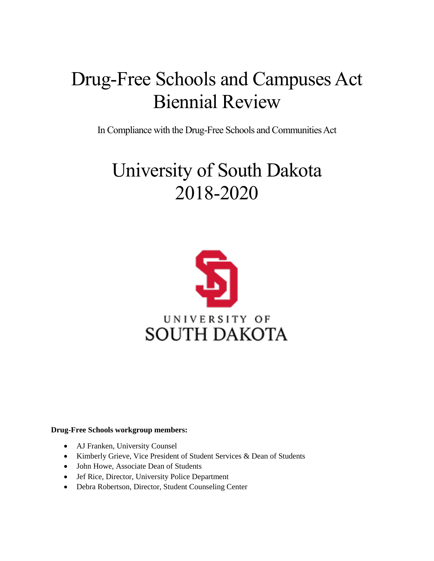# Drug-Free Schools and Campuses Act Biennial Review

In Compliance with the Drug-Free Schools and Communities Act

# University of South Dakota 2018-2020



#### **Drug-Free Schools workgroup members:**

- AJ Franken, University Counsel
- Kimberly Grieve, Vice President of Student Services & Dean of Students
- John Howe, Associate Dean of Students
- Jef Rice, Director, University Police Department
- Debra Robertson, Director, Student Counseling Center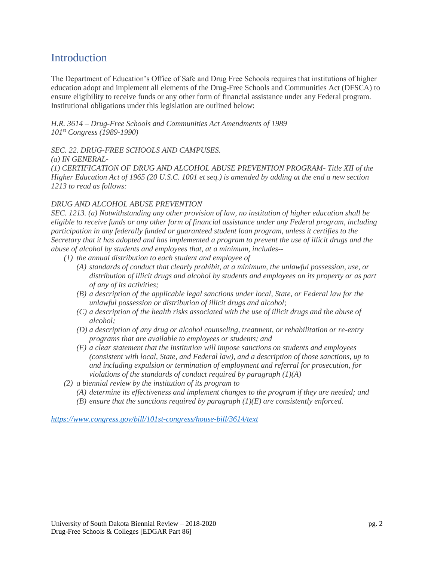#### <span id="page-1-0"></span>Introduction

The Department of Education's Office of Safe and Drug Free Schools requires that institutions of higher education adopt and implement all elements of the Drug-Free Schools and Communities Act (DFSCA) to ensure eligibility to receive funds or any other form of financial assistance under any Federal program. Institutional obligations under this legislation are outlined below:

*H.R. 3614 – Drug-Free Schools and Communities Act Amendments of 1989 101st Congress (1989-1990)*

*SEC. 22. DRUG-FREE SCHOOLS AND CAMPUSES.*

#### *(a) IN GENERAL-*

*(1) CERTIFICATION OF DRUG AND ALCOHOL ABUSE PREVENTION PROGRAM- Title XII of the Higher Education Act of 1965 (20 U.S.C. 1001 et seq.) is amended by adding at the end a new section 1213 to read as follows:*

#### *DRUG AND ALCOHOL ABUSE PREVENTION*

*SEC. 1213. (a) Notwithstanding any other provision of law, no institution of higher education shall be eligible to receive funds or any other form of financial assistance under any Federal program, including participation in any federally funded or guaranteed student loan program, unless it certifies to the Secretary that it has adopted and has implemented a program to prevent the use of illicit drugs and the abuse of alcohol by students and employees that, at a minimum, includes--*

- *(1) the annual distribution to each student and employee of*
	- *(A) standards of conduct that clearly prohibit, at a minimum, the unlawful possession, use, or distribution of illicit drugs and alcohol by students and employees on its property or as part of any of its activities;*
	- *(B) a description of the applicable legal sanctions under local, State, or Federal law for the unlawful possession or distribution of illicit drugs and alcohol;*
	- *(C) a description of the health risks associated with the use of illicit drugs and the abuse of alcohol;*
	- *(D) a description of any drug or alcohol counseling, treatment, or rehabilitation or re-entry programs that are available to employees or students; and*
	- *(E) a clear statement that the institution will impose sanctions on students and employees (consistent with local, State, and Federal law), and a description of those sanctions, up to and including expulsion or termination of employment and referral for prosecution, for violations of the standards of conduct required by paragraph (1)(A)*
- *(2) a biennial review by the institution of its program to*
	- *(A) determine its effectiveness and implement changes to the program if they are needed; and*
	- *(B) ensure that the sanctions required by paragraph (1)(E) are consistently enforced.*

*<https://www.congress.gov/bill/101st-congress/house-bill/3614/text>*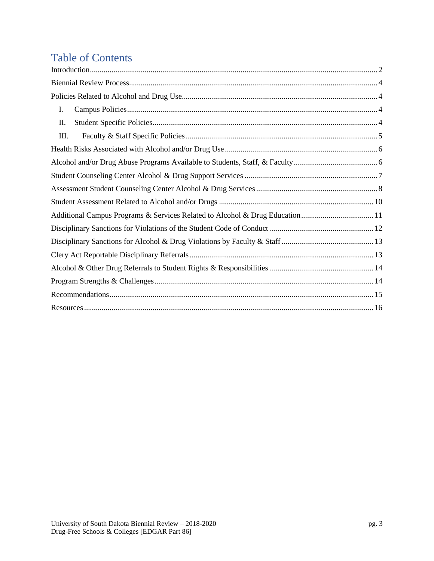# Table of Contents

| I. |  |  |  |  |  |
|----|--|--|--|--|--|
| Π. |  |  |  |  |  |
| Ш. |  |  |  |  |  |
|    |  |  |  |  |  |
|    |  |  |  |  |  |
|    |  |  |  |  |  |
|    |  |  |  |  |  |
|    |  |  |  |  |  |
|    |  |  |  |  |  |
|    |  |  |  |  |  |
|    |  |  |  |  |  |
|    |  |  |  |  |  |
|    |  |  |  |  |  |
|    |  |  |  |  |  |
|    |  |  |  |  |  |
|    |  |  |  |  |  |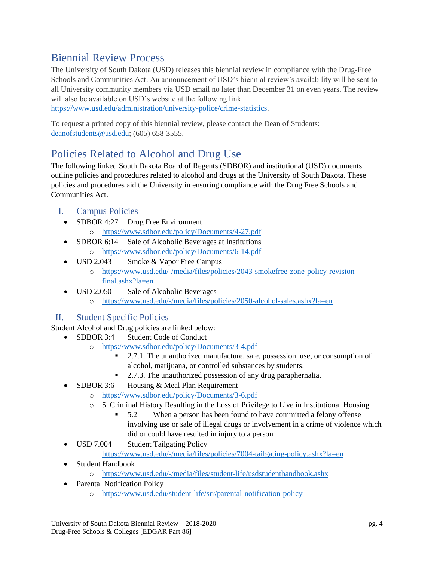## <span id="page-3-0"></span>Biennial Review Process

The University of South Dakota (USD) releases this biennial review in compliance with the Drug-Free Schools and Communities Act. An announcement of USD's biennial review's availability will be sent to all University community members via USD email no later than December 31 on even years. The review will also be available on USD's website at the following link:

[https://www.usd.edu/administration/university-police/crime-statistics.](https://www.usd.edu/administration/university-police/crime-statistics)

To request a printed copy of this biennial review, please contact the Dean of Students: [deanofstudents@usd.edu;](mailto:deanofstudents@usd.edu) (605) 658-3555.

## <span id="page-3-1"></span>Policies Related to Alcohol and Drug Use

The following linked South Dakota Board of Regents (SDBOR) and institutional (USD) documents outline policies and procedures related to alcohol and drugs at the University of South Dakota. These policies and procedures aid the University in ensuring compliance with the Drug Free Schools and Communities Act.

#### <span id="page-3-2"></span>I. Campus Policies

- SDBOR 4:27 Drug Free Environment o <https://www.sdbor.edu/policy/Documents/4-27.pdf>
- SDBOR 6:14 Sale of Alcoholic Beverages at Institutions
	- o <https://www.sdbor.edu/policy/Documents/6-14.pdf>
- USD 2.043 Smoke & Vapor Free Campus
	- o [https://www.usd.edu/-/media/files/policies/2043-smokefree-zone-policy-revision](https://www.usd.edu/-/media/files/policies/2043-smokefree-zone-policy-revision-final.ashx?la=en)[final.ashx?la=en](https://www.usd.edu/-/media/files/policies/2043-smokefree-zone-policy-revision-final.ashx?la=en)
- USD 2.050 Sale of Alcoholic Beverages
	- o <https://www.usd.edu/-/media/files/policies/2050-alcohol-sales.ashx?la=en>

#### <span id="page-3-3"></span>II. Student Specific Policies

Student Alcohol and Drug policies are linked below:

- SDBOR 3:4 Student Code of Conduct
	- o <https://www.sdbor.edu/policy/Documents/3-4.pdf>
		- 2.7.1. The unauthorized manufacture, sale, possession, use, or consumption of alcohol, marijuana, or controlled substances by students.
		- 2.7.3. The unauthorized possession of any drug paraphernalia.
- SDBOR 3:6 Housing & Meal Plan Requirement
	- o <https://www.sdbor.edu/policy/Documents/3-6.pdf>
	- o 5. Criminal History Resulting in the Loss of Privilege to Live in Institutional Housing
		- 5.2 When a person has been found to have committed a felony offense involving use or sale of illegal drugs or involvement in a crime of violence which did or could have resulted in injury to a person
- USD 7.004 Student Tailgating Policy
	- <https://www.usd.edu/-/media/files/policies/7004-tailgating-policy.ashx?la=en>
- Student Handbook
	- o <https://www.usd.edu/-/media/files/student-life/usdstudenthandbook.ashx>
- Parental Notification Policy
	- o <https://www.usd.edu/student-life/srr/parental-notification-policy>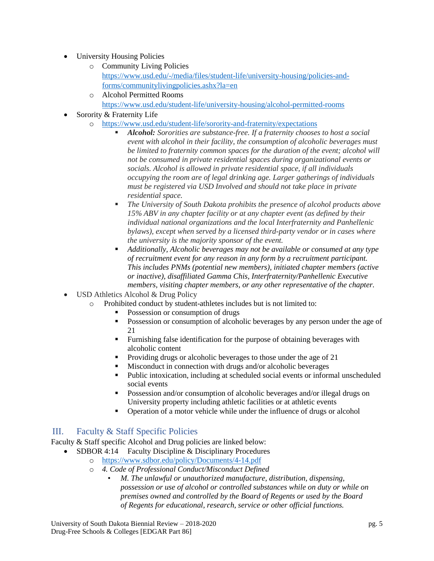- University Housing Policies
	- o Community Living Policies [https://www.usd.edu/-/media/files/student-life/university-housing/policies-and](https://www.usd.edu/-/media/files/student-life/university-housing/policies-and-forms/communitylivingpolicies.ashx?la=en)[forms/communitylivingpolicies.ashx?la=en](https://www.usd.edu/-/media/files/student-life/university-housing/policies-and-forms/communitylivingpolicies.ashx?la=en)
	- o Alcohol Permitted Rooms <https://www.usd.edu/student-life/university-housing/alcohol-permitted-rooms>
- Sorority & Fraternity Life
	- o <https://www.usd.edu/student-life/sorority-and-fraternity/expectations>
		- Alcohol: Sororities are substance-free. If a fraternity chooses to host a social *event with alcohol in their facility, the consumption of alcoholic beverages must be limited to fraternity common spaces for the duration of the event; alcohol will not be consumed in private residential spaces during organizational events or socials. Alcohol is allowed in private residential space, if all individuals occupying the room are of legal drinking age. Larger gatherings of individuals must be registered via USD Involved and should not take place in private residential space.*
		- The University of South Dakota prohibits the presence of alcohol products above *15% ABV in any chapter facility or at any chapter event (as defined by their individual national organizations and the local Interfraternity and Panhellenic bylaws), except when served by a licensed third-party vendor or in cases where the university is the majority sponsor of the event.*
		- *Additionally, Alcoholic beverages may not be available or consumed at any type of recruitment event for any reason in any form by a recruitment participant. This includes PNMs (potential new members), initiated chapter members (active or inactive), disaffiliated Gamma Chis, Interfraternity/Panhellenic Executive members, visiting chapter members, or any other representative of the chapter.*
- USD Athletics Alcohol & Drug Policy
	- o Prohibited conduct by student-athletes includes but is not limited to:
		- Possession or consumption of drugs
		- **•** Possession or consumption of alcoholic beverages by any person under the age of 21
		- **EXECUTE:** Furnishing false identification for the purpose of obtaining beverages with alcoholic content
		- Providing drugs or alcoholic beverages to those under the age of 21
		- Misconduct in connection with drugs and/or alcoholic beverages
		- Public intoxication, including at scheduled social events or informal unscheduled social events
		- Possession and/or consumption of alcoholic beverages and/or illegal drugs on University property including athletic facilities or at athletic events
		- Operation of a motor vehicle while under the influence of drugs or alcohol

#### <span id="page-4-0"></span>III. Faculty & Staff Specific Policies

- Faculty & Staff specific Alcohol and Drug policies are linked below:
	- SDBOR 4:14 Faculty Discipline & Disciplinary Procedures
		- o <https://www.sdbor.edu/policy/Documents/4-14.pdf>
			- o *4. Code of Professional Conduct/Misconduct Defined*
				- *M. The unlawful or unauthorized manufacture, distribution, dispensing, possession or use of alcohol or controlled substances while on duty or while on premises owned and controlled by the Board of Regents or used by the Board of Regents for educational, research, service or other official functions.*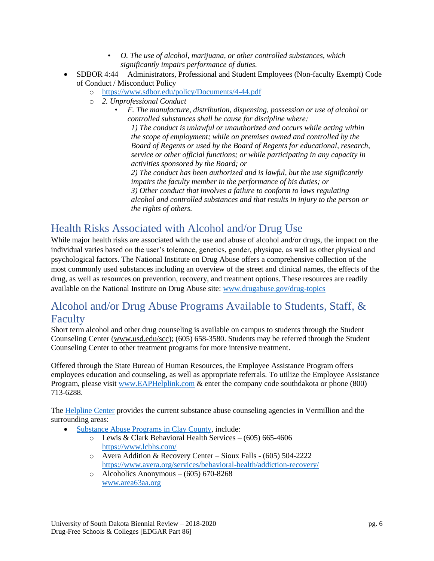- *O. The use of alcohol, marijuana, or other controlled substances, which significantly impairs performance of duties.*
- SDBOR 4:44 Administrators, Professional and Student Employees (Non-faculty Exempt) Code of Conduct / Misconduct Policy
	- o <https://www.sdbor.edu/policy/Documents/4-44.pdf>
		- o *2. Unprofessional Conduct*
			- *F. The manufacture, distribution, dispensing, possession or use of alcohol or controlled substances shall be cause for discipline where:*

*1) The conduct is unlawful or unauthorized and occurs while acting within the scope of employment; while on premises owned and controlled by the Board of Regents or used by the Board of Regents for educational, research, service or other official functions; or while participating in any capacity in activities sponsored by the Board; or* 

*2) The conduct has been authorized and is lawful, but the use significantly impairs the faculty member in the performance of his duties; or 3) Other conduct that involves a failure to conform to laws regulating alcohol and controlled substances and that results in injury to the person or the rights of others.*

# <span id="page-5-0"></span>Health Risks Associated with Alcohol and/or Drug Use

While major health risks are associated with the use and abuse of alcohol and/or drugs, the impact on the individual varies based on the user's tolerance, genetics, gender, physique, as well as other physical and psychological factors. The National Institute on Drug Abuse offers a comprehensive collection of the most commonly used substances including an overview of the street and clinical names, the effects of the drug, as well as resources on prevention, recovery, and treatment options. These resources are readily available on the National Institute on Drug Abuse site: [www.drugabuse.gov/drug-topics](http://www.drugabuse.gov/drug-topics)

### <span id="page-5-1"></span>Alcohol and/or Drug Abuse Programs Available to Students, Staff, & Faculty

Short term alcohol and other drug counseling is available on campus to students through the Student Counseling Center [\(www.usd.edu/scc\)](http://www.usd.edu/scc); (605) 658-3580. Students may be referred through the Student Counseling Center to other treatment programs for more intensive treatment.

Offered through the State Bureau of Human Resources, the Employee Assistance Program offers employees education and counseling, as well as appropriate referrals. To utilize the Employee Assistance Program, please visit [www.EAPHelplink.com](http://www.eaphelplink.com/) & enter the company code southdakota or phone (800) 713-6288.

The [Helpline Center](https://www.helplinecenter.org/) provides the current substance abuse counseling agencies in Vermillion and the surrounding areas:

- [Substance Abuse Programs in Clay County,](https://www.helplinecenter.org/2-1-1-community-resources/search/guided-search/?cat=substance%20use&county=Clay) include:
	- $\circ$  Lewis & Clark Behavioral Health Services (605) 665-4606 <https://www.lcbhs.com/>
	- o Avera Addition & Recovery Center Sioux Falls (605) 504-2222 <https://www.avera.org/services/behavioral-health/addiction-recovery/>
	- o Alcoholics Anonymous  $(605)$  670-8268 [www.area63aa.org](http://www.area63aa.org/)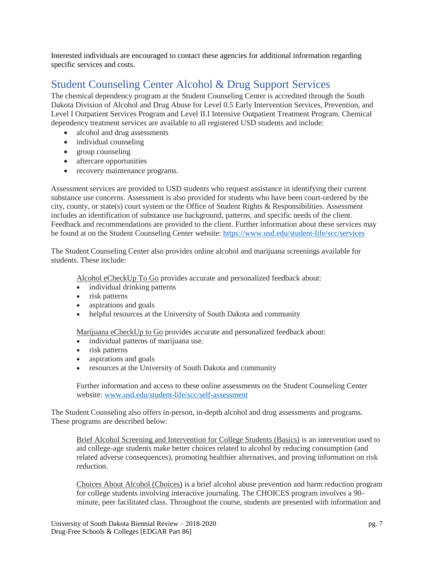Interested individuals are encouraged to contact these agencies for additional information regarding specific services and costs.

# <span id="page-6-0"></span>Student Counseling Center Alcohol & Drug Support Services

The chemical dependency program at the Student Counseling Center is accredited through the South Dakota Division of Alcohol and Drug Abuse for Level 0.5 Early Intervention Services, Prevention, and Level I Outpatient Services Program and Level II.I Intensive Outpatient Treatment Program. Chemical dependency treatment services are available to all registered USD students and include:

- alcohol and drug assessments
- individual counseling
- group counseling
- aftercare opportunities
- recovery maintenance programs.

Assessment services are provided to USD students who request assistance in identifying their current substance use concerns. Assessment is also provided for students who have been court-ordered by the city, county, or state(s) court system or the Office of Student Rights & Responsibilities. Assessment includes an identification of substance use background, patterns, and specific needs of the client. Feedback and recommendations are provided to the client. Further information about these services may be found at on the Student Counseling Center website:<https://www.usd.edu/student-life/scc/services>

The Student Counseling Center also provides online alcohol and marijuana screenings available for students. These include:

Alcohol eCheckUp To Go provides accurate and personalized feedback about:

- individual drinking patterns
- risk patterns
- aspirations and goals
- helpful resources at the University of South Dakota and community

Marijuana eCheckUp to Go provides accurate and personalized feedback about:

- individual patterns of marijuana use.
- risk patterns
- aspirations and goals
- resources at the University of South Dakota and community

Further information and access to these online assessments on the Student Counseling Center website: [www.usd.edu/student-life/scc/self-assessment](https://www.usd.edu/student-life/scc/self-assessment)

The Student Counseling also offers in-person, in-depth alcohol and drug assessments and programs. These programs are described below:

Brief Alcohol Screening and Intervention for College Students (Basics) is an intervention used to aid college-age students make better choices related to alcohol by reducing consumption (and related adverse consequences), promoting healthier alternatives, and proving information on risk reduction.

Choices About Alcohol (Choices) is a brief alcohol abuse prevention and harm reduction program for college students involving interactive journaling. The CHOICES program involves a 90 minute, peer facilitated class. Throughout the course, students are presented with information and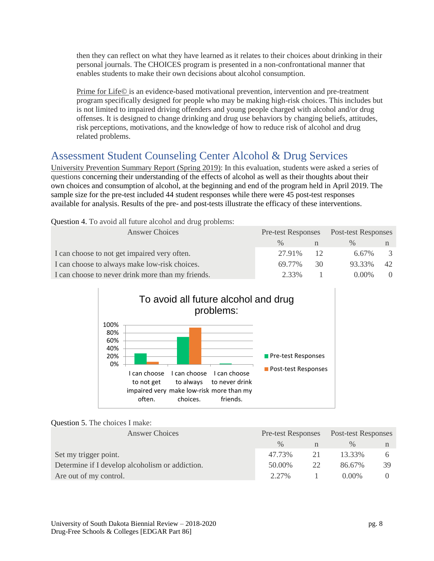then they can reflect on what they have learned as it relates to their choices about drinking in their personal journals. The CHOICES program is presented in a non-confrontational manner that enables students to make their own decisions about alcohol consumption.

Prime for Life© is an evidence-based motivational prevention, intervention and pre-treatment program specifically designed for people who may be making high-risk choices. This includes but is not limited to impaired driving offenders and young people charged with alcohol and/or drug offenses. It is designed to change drinking and drug use behaviors by changing beliefs, attitudes, risk perceptions, motivations, and the knowledge of how to reduce risk of alcohol and drug related problems.

### <span id="page-7-0"></span>Assessment Student Counseling Center Alcohol & Drug Services

University Prevention Summary Report (Spring 2019): In this evaluation, students were asked a series of questions concerning their understanding of the effects of alcohol as well as their thoughts about their own choices and consumption of alcohol, at the beginning and end of the program held in April 2019. The sample size for the pre-test included 44 student responses while there were 45 post-test responses available for analysis. Results of the pre- and post-tests illustrate the efficacy of these interventions.

Question 4. To avoid all future alcohol and drug problems:

| <b>Answer Choices</b>                             | <b>Pre-test Responses</b> |    | <b>Post-test Responses</b> |     |
|---------------------------------------------------|---------------------------|----|----------------------------|-----|
|                                                   | $\%$                      |    | $\%$                       |     |
| I can choose to not get impaired very often.      | 27.91%                    | 12 | 6.67%                      | 3   |
| I can choose to always make low-risk choices.     | 69.77%                    | 30 | 93.33%                     | 42. |
| I can choose to never drink more than my friends. | 2.33%                     |    | $0.00\%$                   |     |



#### Question 5. The choices I make:

| <b>Answer Choices</b>                           | <b>Pre-test Responses</b> |    | <b>Post-test Responses</b> |    |
|-------------------------------------------------|---------------------------|----|----------------------------|----|
|                                                 | $\%$                      |    | $\%$                       |    |
| Set my trigger point.                           | 47.73%                    | 21 | 13.33%                     |    |
| Determine if I develop alcoholism or addiction. | 50.00%                    | 22 | 86.67%                     | 39 |
| Are out of my control.                          | 2.27%                     |    | $0.00\%$                   |    |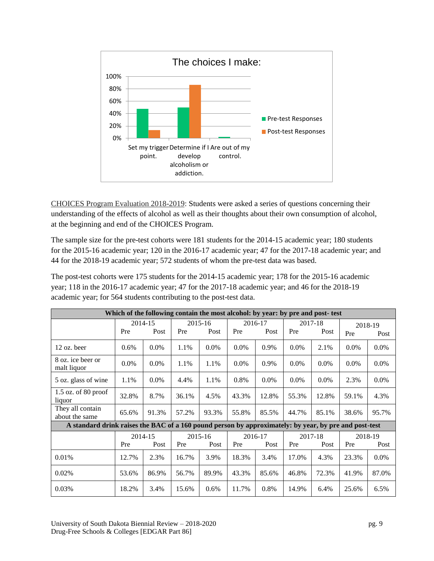

CHOICES Program Evaluation 2018-2019: Students were asked a series of questions concerning their understanding of the effects of alcohol as well as their thoughts about their own consumption of alcohol, at the beginning and end of the CHOICES Program.

The sample size for the pre-test cohorts were 181 students for the 2014-15 academic year; 180 students for the 2015-16 academic year; 120 in the 2016-17 academic year; 47 for the 2017-18 academic year; and 44 for the 2018-19 academic year; 572 students of whom the pre-test data was based.

The post-test cohorts were 175 students for the 2014-15 academic year; 178 for the 2015-16 academic year; 118 in the 2016-17 academic year; 47 for the 2017-18 academic year; and 46 for the 2018-19 academic year; for 564 students contributing to the post-test data.

| Which of the following contain the most alcohol: by year: by pre and post- test |                                                                                                       |         |         |         |         |         |         |         |         |         |
|---------------------------------------------------------------------------------|-------------------------------------------------------------------------------------------------------|---------|---------|---------|---------|---------|---------|---------|---------|---------|
|                                                                                 |                                                                                                       | 2014-15 | 2015-16 |         | 2016-17 |         | 2017-18 |         | 2018-19 |         |
|                                                                                 | Pre                                                                                                   | Post    | Pre     | Post    | Pre     | Post    | Pre     | Post    | Pre     | Post    |
| 12 oz. beer                                                                     | 0.6%                                                                                                  | 0.0%    | 1.1%    | 0.0%    | 0.0%    | 0.9%    | 0.0%    | 2.1%    | $0.0\%$ | $0.0\%$ |
| 8 oz. ice beer or<br>malt liquor                                                | 0.0%                                                                                                  | $0.0\%$ | 1.1%    | 1.1%    | 0.0%    | 0.9%    | 0.0%    | 0.0%    | $0.0\%$ | $0.0\%$ |
| 5 oz. glass of wine                                                             | 1.1%                                                                                                  | $0.0\%$ | 4.4%    | 1.1%    | 0.8%    | $0.0\%$ | $0.0\%$ | $0.0\%$ | 2.3%    | $0.0\%$ |
| $1.5$ oz. of 80 proof<br>liquor                                                 | 32.8%                                                                                                 | 8.7%    | 36.1%   | 4.5%    | 43.3%   | 12.8%   | 55.3%   | 12.8%   | 59.1%   | 4.3%    |
| They all contain<br>about the same                                              | 65.6%                                                                                                 | 91.3%   | 57.2%   | 93.3%   | 55.8%   | 85.5%   | 44.7%   | 85.1%   | 38.6%   | 95.7%   |
|                                                                                 | A standard drink raises the BAC of a 160 pound person by approximately: by year, by pre and post-test |         |         |         |         |         |         |         |         |         |
|                                                                                 |                                                                                                       | 2014-15 |         | 2015-16 | 2016-17 |         | 2017-18 |         | 2018-19 |         |
|                                                                                 | Pre                                                                                                   | Post    | Pre     | Post    | Pre     | Post    | Pre     | Post    | Pre     | Post    |
| 0.01%                                                                           | 12.7%                                                                                                 | 2.3%    | 16.7%   | 3.9%    | 18.3%   | 3.4%    | 17.0%   | 4.3%    | 23.3%   | $0.0\%$ |
| 0.02%                                                                           | 53.6%                                                                                                 | 86.9%   | 56.7%   | 89.9%   | 43.3%   | 85.6%   | 46.8%   | 72.3%   | 41.9%   | 87.0%   |
| 0.03%                                                                           | 18.2%                                                                                                 | 3.4%    | 15.6%   | 0.6%    | 11.7%   | 0.8%    | 14.9%   | 6.4%    | 25.6%   | 6.5%    |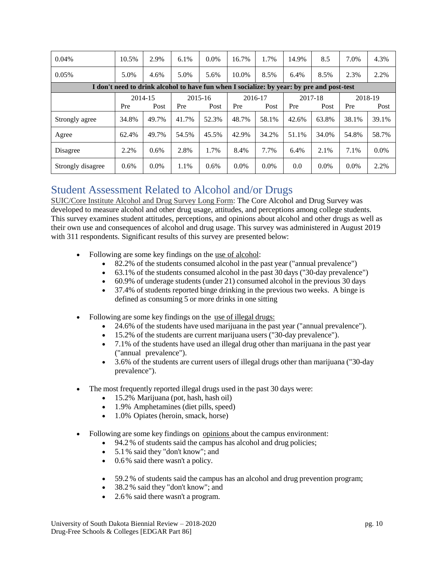| 0.04%                                                                                     | 10.5% | 2.9%    | 6.1%  | $0.0\%$     | 16.7%   | 1.7%    | 14.9% | 8.5     | 7.0%    | 4.3%    |
|-------------------------------------------------------------------------------------------|-------|---------|-------|-------------|---------|---------|-------|---------|---------|---------|
| 0.05%                                                                                     | 5.0%  | 4.6%    | 5.0%  | 5.6%        | 10.0%   | 8.5%    | 6.4%  | 8.5%    | 2.3%    | 2.2%    |
| I don't need to drink alcohol to have fun when I socialize: by year: by pre and post-test |       |         |       |             |         |         |       |         |         |         |
|                                                                                           |       | 2014-15 |       | $2015 - 16$ | 2016-17 |         |       | 2017-18 |         | 2018-19 |
|                                                                                           | Pre   | Post    | Pre   | Post        | Pre     | Post    | Pre   | Post    | Pre     | Post    |
| Strongly agree                                                                            | 34.8% | 49.7%   | 41.7% | 52.3%       | 48.7%   | 58.1%   | 42.6% | 63.8%   | 38.1%   | 39.1%   |
| Agree                                                                                     | 62.4% | 49.7%   | 54.5% | 45.5%       | 42.9%   | 34.2%   | 51.1% | 34.0%   | 54.8%   | 58.7%   |
| Disagree                                                                                  | 2.2%  | 0.6%    | 2.8%  | 1.7%        | 8.4%    | 7.7%    | 6.4%  | 2.1%    | 7.1%    | 0.0%    |
| Strongly disagree                                                                         | 0.6%  | $0.0\%$ | 1.1%  | $0.6\%$     | $0.0\%$ | $0.0\%$ | 0.0   | 0.0%    | $0.0\%$ | 2.2%    |

#### <span id="page-9-0"></span>Student Assessment Related to Alcohol and/or Drugs

SUIC/Core Institute Alcohol and Drug Survey Long Form: The Core Alcohol and Drug Survey was developed to measure alcohol and other drug usage, attitudes, and perceptions among college students. This survey examines student attitudes, perceptions, and opinions about alcohol and other drugs as well as their own use and consequences of alcohol and drug usage. This survey was administered in August 2019 with 311 respondents. Significant results of this survey are presented below:

- Following are some key findings on the use of alcohol:
	- 82.2% of the students consumed alcohol in the past year ("annual prevalence")
	- 63.1% of the students consumed alcohol in the past 30 days ("30-day prevalence")
	- 60.9% of underage students (under 21) consumed alcohol in the previous 30 days
	- 37.4% of students reported binge drinking in the previous two weeks. A binge is defined as consuming 5 or more drinks in one sitting
- Following are some key findings on the use of illegal drugs:
	- 24.6% of the students have used marijuana in the past year ("annual prevalence").
	- 15.2% of the students are current marijuana users ("30-day prevalence").
	- 7.1% of the students have used an illegal drug other than marijuana in the past year ("annual prevalence").
	- 3.6% of the students are current users of illegal drugs other than marijuana ("30-day") prevalence").
- The most frequently reported illegal drugs used in the past 30 days were:
	- 15.2% Marijuana (pot, hash, hash oil)
	- 1.9% Amphetamines (diet pills, speed)
	- 1.0% Opiates (heroin, smack, horse)
- Following are some key findings on opinions about the campus environment:
	- 94.2% of students said the campus has alcohol and drug policies;
	- 5.1% said they "don't know"; and
	- 0.6% said there wasn't a policy.
	- 59.2 % of students said the campus has an alcohol and drug prevention program;
	- 38.2% said they "don't know"; and
	- 2.6% said there wasn't a program.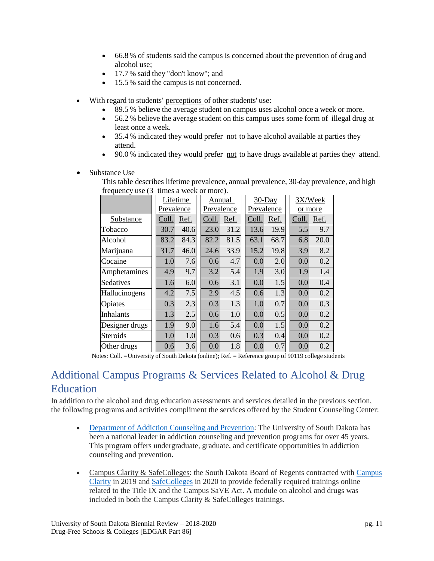- 66.8 % of students said the campus is concerned about the prevention of drug and alcohol use;
- 17.7% said they "don't know"; and
- 15.5% said the campus is not concerned.
- With regard to students' perceptions of other students' use:
	- 89.5 % believe the average student on campus uses alcohol once a week or more.
	- 56.2 % believe the average student on this campus uses some form of illegal drug at least once a week.
	- 35.4 % indicated they would prefer not to have alcohol available at parties they attend.
	- 90.0 % indicated they would prefer not to have drugs available at parties they attend.
- Substance Use

This table describes lifetime prevalence, annual prevalence, 30-day prevalence, and high frequency use (3 times a week or more).

|                  | Lifetime   |      | Annual     |      | 30-Day     |      | 3X/Week |      |
|------------------|------------|------|------------|------|------------|------|---------|------|
|                  | Prevalence |      | Prevalence |      | Prevalence |      | or more |      |
| Substance        | Coll.      | Ref. | Coll.      | Ref. | Coll.      | Ref. | Coll.   | Ref. |
| Tobacco          | 30.7       | 40.6 | 23.0       | 31.2 | 13.6       | 19.9 | 5.5     | 9.7  |
| Alcohol          | 83.2       | 84.3 | 82.2       | 81.5 | 63.1       | 68.7 | 6.8     | 20.0 |
| Marijuana        | 31.7       | 46.0 | 24.6       | 33.9 | 15.2       | 19.8 | 3.9     | 8.2  |
| Cocaine          | 1.0        | 7.6  | 0.6        | 4.7  | 0.0        | 2.0  | 0.0     | 0.2  |
| Amphetamines     | 4.9        | 9.7  | 3.2        | 5.4  | 1.9        | 3.0  | 1.9     | 1.4  |
| Sedatives        | 1.6        | 6.0  | 0.6        | 3.1  | 0.0        | 1.5  | 0.0     | 0.4  |
| Hallucinogens    | 4.2        | 7.5  | 2.9        | 4.5  | 0.6        | 1.3  | 0.0     | 0.2  |
| Opiates          | 0.3        | 2.3  | 0.3        | 1.3  | 1.0        | 0.7  | 0.0     | 0.3  |
| <b>Inhalants</b> | 1.3        | 2.5  | 0.6        | 1.0  | 0.0        | 0.5  | 0.0     | 0.2  |
| Designer drugs   | 1.9        | 9.0  | 1.6        | 5.4  | 0.0        | 1.5  | 0.0     | 0.2  |
| <b>Steroids</b>  | 1.0        | 1.0  | 0.3        | 0.6  | 0.3        | 0.4  | 0.0     | 0.2  |
| Other drugs      | 0.6        | 3.6  | 0.0        | 1.8  | 0.0        | 0.7  | 0.0     | 0.2  |

Notes: Coll. =University of South Dakota (online); Ref. = Reference group of 90119 college students

# <span id="page-10-0"></span>Additional Campus Programs & Services Related to Alcohol & Drug **Education**

In addition to the alcohol and drug education assessments and services detailed in the previous section, the following programs and activities compliment the services offered by the Student Counseling Center:

- [Department of Addiction Counseling and Prevention:](https://www.usd.edu/health-sciences/addiction-counseling-and-prevention) The University of South Dakota has been a national leader in addiction counseling and prevention programs for over 45 years. This program offers undergraduate, graduate, and certificate opportunities in addiction counseling and prevention.
- • [Campus](https://www.everfi.com/colleges-universities/) Clarity & SafeColleges: the South Dakota Board of Regents contracted with Campus [Clarity](https://www.everfi.com/colleges-universities/) in 2019 and [SafeColleges](https://www.safecolleges.com/) in 2020 to provide federally required trainings online related to the Title IX and the Campus SaVE Act. A module on alcohol and drugs was included in both the Campus Clarity & SafeColleges trainings.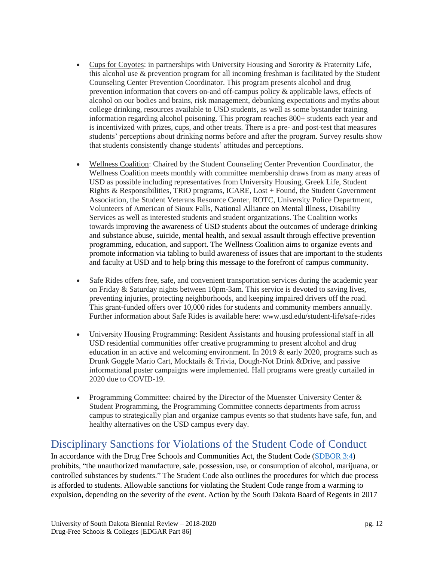- Cups for Coyotes: in partnerships with University Housing and Sorority & Fraternity Life, this alcohol use & prevention program for all incoming freshman is facilitated by the Student Counseling Center Prevention Coordinator. This program presents alcohol and drug prevention information that covers on-and off-campus policy & applicable laws, effects of alcohol on our bodies and brains, risk management, debunking expectations and myths about college drinking, resources available to USD students, as well as some bystander training information regarding alcohol poisoning. This program reaches 800+ students each year and is incentivized with prizes, cups, and other treats. There is a pre- and post-test that measures students' perceptions about drinking norms before and after the program. Survey results show that students consistently change students' attitudes and perceptions.
- Wellness Coalition: Chaired by the Student Counseling Center Prevention Coordinator, the Wellness Coalition meets monthly with committee membership draws from as many areas of USD as possible including representatives from University Housing, Greek Life, Student Rights & Responsibilities, TRiO programs, ICARE, Lost + Found, the Student Government Association, the Student Veterans Resource Center, ROTC, University Police Department, Volunteers of American of Sioux Falls, National Alliance on Mental Illness, Disability Services as well as interested students and student organizations. The Coalition works towards improving the awareness of USD students about the outcomes of underage drinking and substance abuse, suicide, mental health, and sexual assault through effective prevention programming, education, and support. The Wellness Coalition aims to organize events and promote information via tabling to build awareness of issues that are important to the students and faculty at USD and to help bring this message to the forefront of campus community.
- Safe Rides offers free, safe, and convenient transportation services during the academic year on Friday & Saturday nights between 10pm-3am. This service is devoted to saving lives, preventing injuries, protecting neighborhoods, and keeping impaired drivers off the road. This grant-funded offers over 10,000 rides for students and community members annually. Further information about Safe Rides is available here: www.usd.edu/student-life/safe-rides
- University Housing Programming: Resident Assistants and housing professional staff in all USD residential communities offer creative programming to present alcohol and drug education in an active and welcoming environment. In 2019  $&$  early 2020, programs such as Drunk Goggle Mario Cart, Mocktails & Trivia, Dough-Not Drink &Drive, and passive informational poster campaigns were implemented. Hall programs were greatly curtailed in 2020 due to COVID-19.
- Programming Committee: chaired by the Director of the Muenster University Center  $\&$ Student Programming, the Programming Committee connects departments from across campus to strategically plan and organize campus events so that students have safe, fun, and healthy alternatives on the USD campus every day.

#### <span id="page-11-0"></span>Disciplinary Sanctions for Violations of the Student Code of Conduct

In accordance with the Drug Free Schools and Communities Act, the Student Code [\(SDBOR 3:4\)](https://www.sdbor.edu/policy/Documents/3-4.pdf) prohibits, "the unauthorized manufacture, sale, possession, use, or consumption of alcohol, marijuana, or controlled substances by students." The Student Code also outlines the procedures for which due process is afforded to students. Allowable sanctions for violating the Student Code range from a warming to expulsion, depending on the severity of the event. Action by the South Dakota Board of Regents in 2017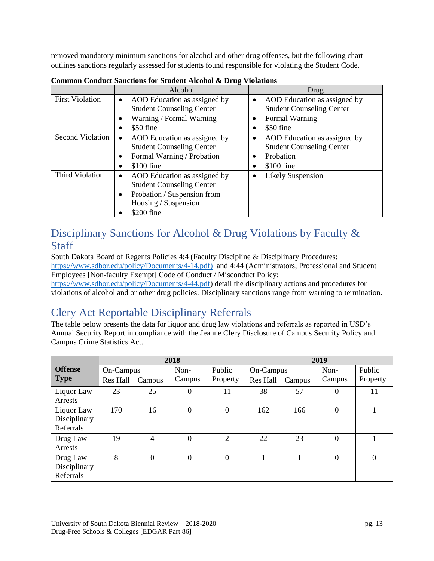removed mandatory minimum sanctions for alcohol and other drug offenses, but the following chart outlines sanctions regularly assessed for students found responsible for violating the Student Code.

|                         | ິ<br>Alcohol                                                                                                                                       | Drug                                                                                                                      |
|-------------------------|----------------------------------------------------------------------------------------------------------------------------------------------------|---------------------------------------------------------------------------------------------------------------------------|
| <b>First Violation</b>  | AOD Education as assigned by<br>$\bullet$<br><b>Student Counseling Center</b><br>Warning / Formal Warning<br>\$50 fine                             | AOD Education as assigned by<br>$\bullet$<br><b>Student Counseling Center</b><br>Formal Warning<br>$\bullet$<br>\$50 fine |
| <b>Second Violation</b> | AOD Education as assigned by<br>$\bullet$<br><b>Student Counseling Center</b><br>Formal Warning / Probation<br>\$100 fine                          | AOD Education as assigned by<br>$\bullet$<br><b>Student Counseling Center</b><br>Probation<br>\$100 fine                  |
| <b>Third Violation</b>  | AOD Education as assigned by<br>$\bullet$<br><b>Student Counseling Center</b><br>Probation / Suspension from<br>Housing / Suspension<br>\$200 fine | <b>Likely Suspension</b>                                                                                                  |

**Common Conduct Sanctions for Student Alcohol & Drug Violations**

#### <span id="page-12-0"></span>Disciplinary Sanctions for Alcohol & Drug Violations by Faculty & **Staff**

South Dakota Board of Regents Policies 4:4 (Faculty Discipline & Disciplinary Procedures; [https://www.sdbor.edu/policy/Documents/4-14.pdf\)](https://www.sdbor.edu/policy/Documents/4-14.pdf) and 4:44 (Administrators, Professional and Student Employees [Non-faculty Exempt] Code of Conduct / Misconduct Policy;

[https://www.sdbor.edu/policy/Documents/4-44.pdf\)](https://www.sdbor.edu/policy/Documents/4-44.pdf) detail the disciplinary actions and procedures for violations of alcohol and or other drug policies. Disciplinary sanctions range from warning to termination.

# <span id="page-12-1"></span>Clery Act Reportable Disciplinary Referrals

The table below presents the data for liquor and drug law violations and referrals as reported in USD's Annual Security Report in compliance with the Jeanne Clery Disclosure of Campus Security Policy and Campus Crime Statistics Act.

|                                         |                 |                  | 2018         |                | 2019            |        |                |              |
|-----------------------------------------|-----------------|------------------|--------------|----------------|-----------------|--------|----------------|--------------|
| <b>Offense</b>                          | On-Campus       |                  | Non-         | Public         | On-Campus       |        | Non-           | Public       |
| <b>Type</b>                             | <b>Res Hall</b> | Campus           | Campus       | Property       | <b>Res Hall</b> | Campus | Campus         | Property     |
| Liquor Law<br>Arrests                   | 23              | 25               | $\mathbf{0}$ | 11             | 38              | 57     | $\overline{0}$ | 11           |
| Liquor Law<br>Disciplinary<br>Referrals | 170             | 16               | $\mathbf{0}$ | $\overline{0}$ | 162             | 166    | $\overline{0}$ |              |
| Drug Law<br>Arrests                     | 19              | 4                | $\theta$     | $\overline{2}$ | 22              | 23     | $\overline{0}$ |              |
| Drug Law<br>Disciplinary<br>Referrals   | 8               | $\boldsymbol{0}$ | $\mathbf{0}$ | $\overline{0}$ |                 |        | $\overline{0}$ | $\mathbf{0}$ |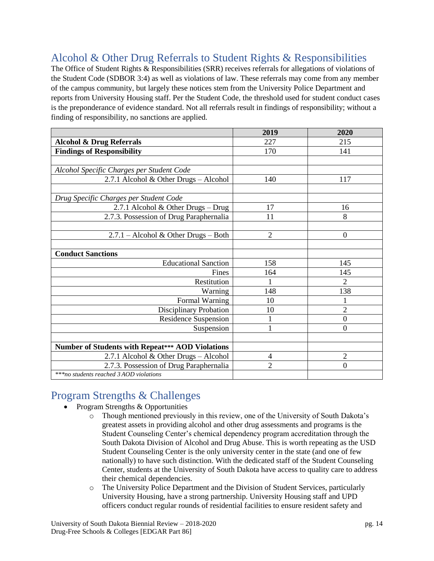### <span id="page-13-0"></span>Alcohol & Other Drug Referrals to Student Rights & Responsibilities

The Office of Student Rights & Responsibilities (SRR) receives referrals for allegations of violations of the Student Code (SDBOR 3:4) as well as violations of law. These referrals may come from any member of the campus community, but largely these notices stem from the University Police Department and reports from University Housing staff. Per the Student Code, the threshold used for student conduct cases is the preponderance of evidence standard. Not all referrals result in findings of responsibility; without a finding of responsibility, no sanctions are applied.

|                                                         | 2019           | 2020           |
|---------------------------------------------------------|----------------|----------------|
| <b>Alcohol &amp; Drug Referrals</b>                     | 227            | 215            |
| <b>Findings of Responsibility</b>                       | 170            | 141            |
|                                                         |                |                |
| Alcohol Specific Charges per Student Code               |                |                |
| 2.7.1 Alcohol & Other Drugs - Alcohol                   | 140            | 117            |
|                                                         |                |                |
| Drug Specific Charges per Student Code                  |                |                |
| 2.7.1 Alcohol & Other Drugs - Drug                      | 17             | 16             |
| 2.7.3. Possession of Drug Paraphernalia                 | 11             | 8              |
|                                                         |                |                |
| 2.7.1 - Alcohol & Other Drugs - Both                    | $\overline{c}$ | $\mathbf{0}$   |
|                                                         |                |                |
| <b>Conduct Sanctions</b>                                |                |                |
| <b>Educational Sanction</b>                             | 158            | 145            |
| Fines                                                   | 164            | 145            |
| Restitution                                             | 1              | $\overline{2}$ |
| Warning                                                 | 148            | 138            |
| Formal Warning                                          | 10             | 1              |
| <b>Disciplinary Probation</b>                           | 10             | $\overline{2}$ |
| Residence Suspension                                    |                | $\mathbf{0}$   |
| Suspension                                              | 1              | $\overline{0}$ |
|                                                         |                |                |
| <b>Number of Students with Repeat*** AOD Violations</b> |                |                |
| 2.7.1 Alcohol & Other Drugs - Alcohol                   | $\overline{4}$ | $\overline{2}$ |
| 2.7.3. Possession of Drug Paraphernalia                 | $\overline{2}$ | $\mathbf{0}$   |
| ***no students reached 3 AOD violations                 |                |                |

#### <span id="page-13-1"></span>Program Strengths & Challenges

- Program Strengths & Opportunities
	- o Though mentioned previously in this review, one of the University of South Dakota's greatest assets in providing alcohol and other drug assessments and programs is the Student Counseling Center's chemical dependency program accreditation through the South Dakota Division of Alcohol and Drug Abuse. This is worth repeating as the USD Student Counseling Center is the only university center in the state (and one of few nationally) to have such distinction. With the dedicated staff of the Student Counseling Center, students at the University of South Dakota have access to quality care to address their chemical dependencies.
	- o The University Police Department and the Division of Student Services, particularly University Housing, have a strong partnership. University Housing staff and UPD officers conduct regular rounds of residential facilities to ensure resident safety and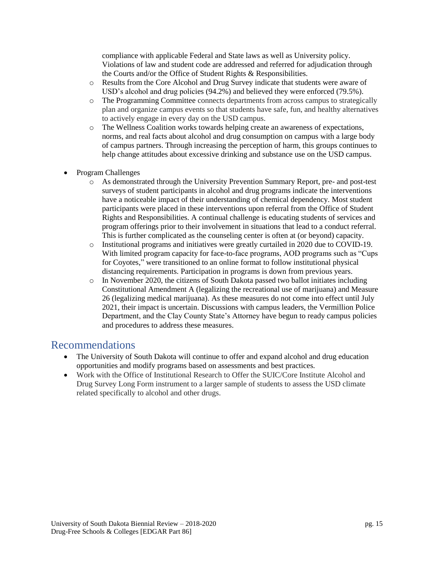compliance with applicable Federal and State laws as well as University policy. Violations of law and student code are addressed and referred for adjudication through the Courts and/or the Office of Student Rights & Responsibilities.

- o Results from the Core Alcohol and Drug Survey indicate that students were aware of USD's alcohol and drug policies (94.2%) and believed they were enforced (79.5%).
- o The Programming Committee connects departments from across campus to strategically plan and organize campus events so that students have safe, fun, and healthy alternatives to actively engage in every day on the USD campus.
- o The Wellness Coalition works towards helping create an awareness of expectations, norms, and real facts about alcohol and drug consumption on campus with a large body of campus partners. Through increasing the perception of harm, this groups continues to help change attitudes about excessive drinking and substance use on the USD campus.
- Program Challenges
	- o As demonstrated through the University Prevention Summary Report, pre- and post-test surveys of student participants in alcohol and drug programs indicate the interventions have a noticeable impact of their understanding of chemical dependency. Most student participants were placed in these interventions upon referral from the Office of Student Rights and Responsibilities. A continual challenge is educating students of services and program offerings prior to their involvement in situations that lead to a conduct referral. This is further complicated as the counseling center is often at (or beyond) capacity.
	- o Institutional programs and initiatives were greatly curtailed in 2020 due to COVID-19. With limited program capacity for face-to-face programs, AOD programs such as "Cups for Coyotes," were transitioned to an online format to follow institutional physical distancing requirements. Participation in programs is down from previous years.
	- $\circ$  In November 2020, the citizens of South Dakota passed two ballot initiates including Constitutional Amendment A (legalizing the recreational use of marijuana) and Measure 26 (legalizing medical marijuana). As these measures do not come into effect until July 2021, their impact is uncertain. Discussions with campus leaders, the Vermillion Police Department, and the Clay County State's Attorney have begun to ready campus policies and procedures to address these measures.

#### <span id="page-14-0"></span>Recommendations

- The University of South Dakota will continue to offer and expand alcohol and drug education opportunities and modify programs based on assessments and best practices.
- Work with the Office of Institutional Research to Offer the SUIC/Core Institute Alcohol and Drug Survey Long Form instrument to a larger sample of students to assess the USD climate related specifically to alcohol and other drugs.